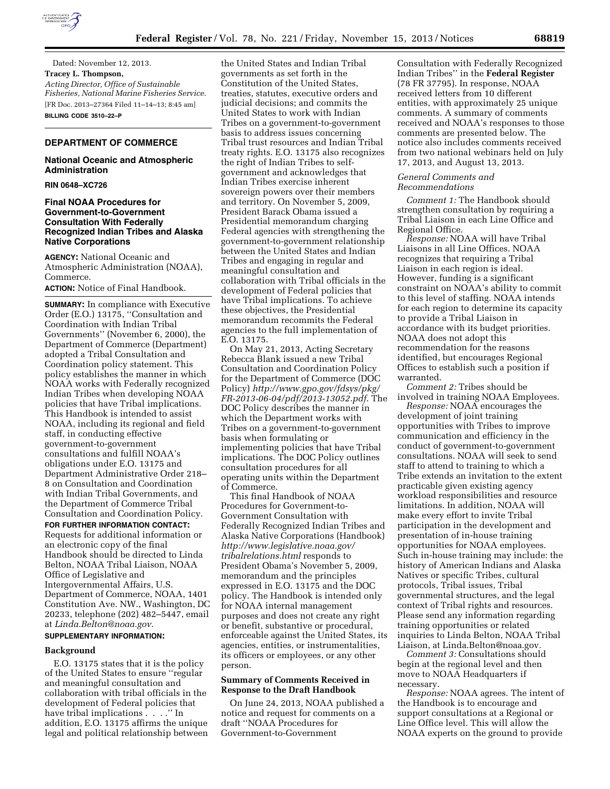

Dated: November 12, 2013. **Tracey L. Thompson,**  *Acting Director, Office of Sustainable Fisheries, National Marine Fisheries Service.*  [FR Doc. 2013–27364 Filed 11–14–13; 8:45 am] **BILLING CODE 3510–22–P** 

# **DEPARTMENT OF COMMERCE**

### **National Oceanic and Atmospheric Administration**

**RIN 0648–XC726** 

## **Final NOAA Procedures for Government-to-Government Consultation With Federally Recognized Indian Tribes and Alaska Native Corporations**

**AGENCY:** National Oceanic and Atmospheric Administration (NOAA), Commerce.

### **ACTION:** Notice of Final Handbook.

**SUMMARY:** In compliance with Executive Order (E.O.) 13175, ''Consultation and Coordination with Indian Tribal Governments'' (November 6, 2000), the Department of Commerce (Department) adopted a Tribal Consultation and Coordination policy statement. This policy establishes the manner in which NOAA works with Federally recognized Indian Tribes when developing NOAA policies that have Tribal implications. This Handbook is intended to assist NOAA, including its regional and field staff, in conducting effective government-to-government consultations and fulfill NOAA's obligations under E.O. 13175 and Department Administrative Order 218– 8 on Consultation and Coordination with Indian Tribal Governments, and the Department of Commerce Tribal Consultation and Coordination Policy.

# **FOR FURTHER INFORMATION CONTACT:**  Requests for additional information or an electronic copy of the final Handbook should be directed to Linda Belton, NOAA Tribal Liaison, NOAA Office of Legislative and Intergovernmental Affairs, U.S. Department of Commerce, NOAA, 1401 Constitution Ave. NW., Washington, DC 20233, telephone (202) 482–5447, email at *[Linda.Belton@noaa.gov](mailto:Linda.Belton@noaa.gov)*.

### **SUPPLEMENTARY INFORMATION:**

#### **Background**

E.O. 13175 states that it is the policy of the United States to ensure ''regular and meaningful consultation and collaboration with tribal officials in the development of Federal policies that have tribal implications . . . .'' In addition, E.O. 13175 affirms the unique legal and political relationship between

the United States and Indian Tribal governments as set forth in the Constitution of the United States, treaties, statutes, executive orders and judicial decisions; and commits the United States to work with Indian Tribes on a government-to-government basis to address issues concerning Tribal trust resources and Indian Tribal treaty rights. E.O. 13175 also recognizes the right of Indian Tribes to selfgovernment and acknowledges that Indian Tribes exercise inherent sovereign powers over their members and territory. On November 5, 2009, President Barack Obama issued a Presidential memorandum charging Federal agencies with strengthening the government-to-government relationship between the United States and Indian Tribes and engaging in regular and meaningful consultation and collaboration with Tribal officials in the development of Federal policies that have Tribal implications. To achieve these objectives, the Presidential memorandum recommits the Federal agencies to the full implementation of E.O. 13175.

On May 21, 2013, Acting Secretary Rebecca Blank issued a new Tribal Consultation and Coordination Policy for the Department of Commerce (DOC Policy) *[http://www.gpo.gov/fdsys/pkg/](http://www.gpo.gov/fdsys/pkg/FR-2013-06-04/pdf/2013-13052.pdf) [FR-2013-06-04/pdf/2013-13052.pdf](http://www.gpo.gov/fdsys/pkg/FR-2013-06-04/pdf/2013-13052.pdf)*. The DOC Policy describes the manner in which the Department works with Tribes on a government-to-government basis when formulating or implementing policies that have Tribal implications. The DOC Policy outlines consultation procedures for all operating units within the Department of Commerce.

This final Handbook of NOAA Procedures for Government-to-Government Consultation with Federally Recognized Indian Tribes and Alaska Native Corporations (Handbook) *[http://www.legislative.noaa.gov/](http://www.legislative.noaa.gov/tribalrelations.html) [tribalrelations.html](http://www.legislative.noaa.gov/tribalrelations.html)* responds to President Obama's November 5, 2009, memorandum and the principles expressed in E.O. 13175 and the DOC policy. The Handbook is intended only for NOAA internal management purposes and does not create any right or benefit, substantive or procedural, enforceable against the United States, its agencies, entities, or instrumentalities, its officers or employees, or any other person.

#### **Summary of Comments Received in Response to the Draft Handbook**

On June 24, 2013, NOAA published a notice and request for comments on a draft ''NOAA Procedures for Government-to-Government

Consultation with Federally Recognized Indian Tribes'' in the **Federal Register**  (78 FR 37795). In response, NOAA received letters from 10 different entities, with approximately 25 unique comments. A summary of comments received and NOAA's responses to those comments are presented below. The notice also includes comments received from two national webinars held on July 17, 2013, and August 13, 2013.

#### *General Comments and Recommendations*

*Comment 1:* The Handbook should strengthen consultation by requiring a Tribal Liaison in each Line Office and Regional Office.

*Response:* NOAA will have Tribal Liaisons in all Line Offices. NOAA recognizes that requiring a Tribal Liaison in each region is ideal. However, funding is a significant constraint on NOAA's ability to commit to this level of staffing. NOAA intends for each region to determine its capacity to provide a Tribal Liaison in accordance with its budget priorities. NOAA does not adopt this recommendation for the reasons identified, but encourages Regional Offices to establish such a position if warranted.

*Comment 2:* Tribes should be involved in training NOAA Employees.

*Response:* NOAA encourages the development of joint training opportunities with Tribes to improve communication and efficiency in the conduct of government-to-government consultations. NOAA will seek to send staff to attend to training to which a Tribe extends an invitation to the extent practicable given existing agency workload responsibilities and resource limitations. In addition, NOAA will make every effort to invite Tribal participation in the development and presentation of in-house training opportunities for NOAA employees. Such in-house training may include: the history of American Indians and Alaska Natives or specific Tribes, cultural protocols, Tribal issues, Tribal governmental structures, and the legal context of Tribal rights and resources. Please send any information regarding training opportunities or related inquiries to Linda Belton, NOAA Tribal Liaison, at [Linda.Belton@noaa.gov](mailto:Linda.Belton@noaa.gov)*.* 

*Comment 3:* Consultations should begin at the regional level and then move to NOAA Headquarters if necessary.

*Response:* NOAA agrees. The intent of the Handbook is to encourage and support consultations at a Regional or Line Office level. This will allow the NOAA experts on the ground to provide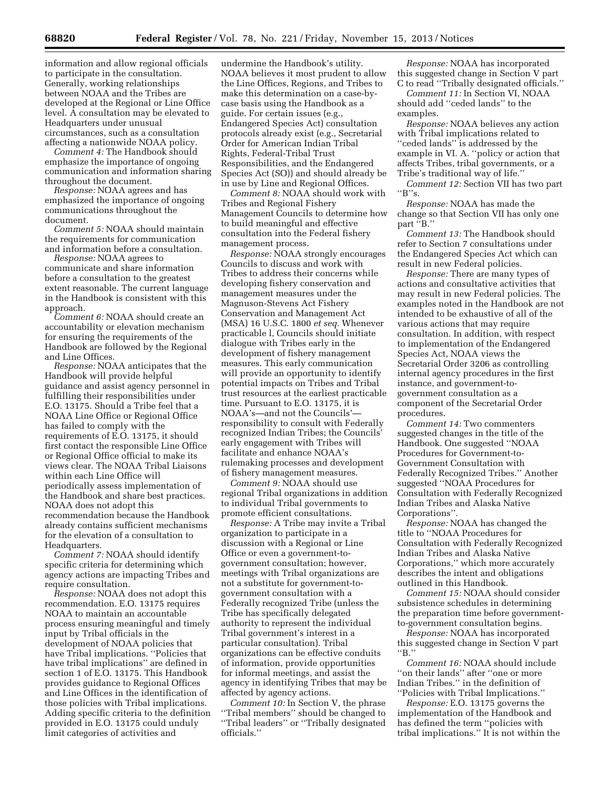information and allow regional officials to participate in the consultation. Generally, working relationships between NOAA and the Tribes are developed at the Regional or Line Office level. A consultation may be elevated to Headquarters under unusual circumstances, such as a consultation affecting a nationwide NOAA policy.

*Comment 4:* The Handbook should emphasize the importance of ongoing communication and information sharing throughout the document.

*Response:* NOAA agrees and has emphasized the importance of ongoing communications throughout the document.

*Comment 5:* NOAA should maintain the requirements for communication and information before a consultation.

*Response:* NOAA agrees to communicate and share information before a consultation to the greatest extent reasonable. The current language in the Handbook is consistent with this approach.

*Comment 6:* NOAA should create an accountability or elevation mechanism for ensuring the requirements of the Handbook are followed by the Regional and Line Offices.

*Response:* NOAA anticipates that the Handbook will provide helpful guidance and assist agency personnel in fulfilling their responsibilities under E.O. 13175. Should a Tribe feel that a NOAA Line Office or Regional Office has failed to comply with the requirements of E.O. 13175, it should first contact the responsible Line Office or Regional Office official to make its views clear. The NOAA Tribal Liaisons within each Line Office will periodically assess implementation of the Handbook and share best practices. NOAA does not adopt this recommendation because the Handbook already contains sufficient mechanisms for the elevation of a consultation to Headquarters.

*Comment 7:* NOAA should identify specific criteria for determining which agency actions are impacting Tribes and require consultation.

*Response:* NOAA does not adopt this recommendation. E.O. 13175 requires NOAA to maintain an accountable process ensuring meaningful and timely input by Tribal officials in the development of NOAA policies that have Tribal implications. ''Policies that have tribal implications'' are defined in section 1 of E.O. 13175. This Handbook provides guidance to Regional Offices and Line Offices in the identification of those policies with Tribal implications. Adding specific criteria to the definition provided in E.O. 13175 could unduly limit categories of activities and

undermine the Handbook's utility. NOAA believes it most prudent to allow the Line Offices, Regions, and Tribes to make this determination on a case-bycase basis using the Handbook as a guide. For certain issues (e.g., Endangered Species Act) consultation protocols already exist (e.g., Secretarial Order for American Indian Tribal Rights, Federal-Tribal Trust Responsibilities, and the Endangered Species Act (SO)) and should already be in use by Line and Regional Offices.

*Comment 8:* NOAA should work with Tribes and Regional Fishery Management Councils to determine how to build meaningful and effective consultation into the Federal fishery management process.

*Response:* NOAA strongly encourages Councils to discuss and work with Tribes to address their concerns while developing fishery conservation and management measures under the Magnuson-Stevens Act Fishery Conservation and Management Act (MSA) 16 U.S.C. 1800 *et seq.* Whenever practicable l, Councils should initiate dialogue with Tribes early in the development of fishery management measures. This early communication will provide an opportunity to identify potential impacts on Tribes and Tribal trust resources at the earliest practicable time. Pursuant to E.O. 13175, it is NOAA's—and not the Councils' responsibility to consult with Federally recognized Indian Tribes; the Councils' early engagement with Tribes will facilitate and enhance NOAA's rulemaking processes and development of fishery management measures.

*Comment 9:* NOAA should use regional Tribal organizations in addition to individual Tribal governments to promote efficient consultations.

*Response:* A Tribe may invite a Tribal organization to participate in a discussion with a Regional or Line Office or even a government-togovernment consultation; however, meetings with Tribal organizations are not a substitute for government-togovernment consultation with a Federally recognized Tribe (unless the Tribe has specifically delegated authority to represent the individual Tribal government's interest in a particular consultation). Tribal organizations can be effective conduits of information, provide opportunities for informal meetings, and assist the agency in identifying Tribes that may be affected by agency actions.

*Comment 10:* In Section V, the phrase ''Tribal members'' should be changed to ''Tribal leaders'' or ''Tribally designated officials.''

*Response:* NOAA has incorporated this suggested change in Section V part C to read ''Tribally designated officials.''

*Comment 11:* In Section VI, NOAA should add ''ceded lands'' to the examples.

*Response:* NOAA believes any action with Tribal implications related to ''ceded lands'' is addressed by the example in VI. A. ''policy or action that affects Tribes, tribal governments, or a Tribe's traditional way of life.''

*Comment 12:* Section VII has two part  $B"s.$ 

*Response:* NOAA has made the change so that Section VII has only one part "B."

*Comment 13:* The Handbook should refer to Section 7 consultations under the Endangered Species Act which can result in new Federal policies.

*Response:* There are many types of actions and consultative activities that may result in new Federal policies. The examples noted in the Handbook are not intended to be exhaustive of all of the various actions that may require consultation. In addition, with respect to implementation of the Endangered Species Act, NOAA views the Secretarial Order 3206 as controlling internal agency procedures in the first instance, and government-togovernment consultation as a component of the Secretarial Order procedures.

*Comment 14:* Two commenters suggested changes in the title of the Handbook. One suggested ''NOAA Procedures for Government-to-Government Consultation with Federally Recognized Tribes.'' Another suggested ''NOAA Procedures for Consultation with Federally Recognized Indian Tribes and Alaska Native Corporations''.

*Response:* NOAA has changed the title to ''NOAA Procedures for Consultation with Federally Recognized Indian Tribes and Alaska Native Corporations,'' which more accurately describes the intent and obligations outlined in this Handbook.

*Comment 15:* NOAA should consider subsistence schedules in determining the preparation time before governmentto-government consultation begins.

*Response:* NOAA has incorporated this suggested change in Section V part ''B.''

*Comment 16:* NOAA should include ''on their lands'' after ''one or more Indian Tribes.'' in the definition of ''Policies with Tribal Implications.''

*Response:* E.O. 13175 governs the implementation of the Handbook and has defined the term ''policies with tribal implications.'' It is not within the